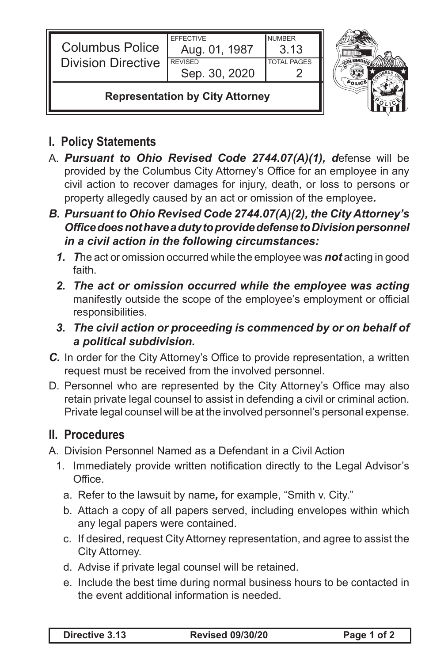| <b>Columbus Police</b><br><b>Division Directive</b> | <b>EFFECTIVE</b><br>Aug. 01, 1987<br><b>REVISED</b><br>Sep. 30, 2020 | <b>NUMBER</b><br>3.13<br><b>TOTAL PAGES</b> |  |
|-----------------------------------------------------|----------------------------------------------------------------------|---------------------------------------------|--|
| <b>Representation by City Attorney</b>              |                                                                      |                                             |  |

## **I. Policy Statements**

- A. *Pursuant to Ohio Revised Code 2744.07(A)(1), d*efense will be provided by the Columbus City Attorney's Office for an employee in any civil action to recover damages for injury, death, or loss to persons or property allegedly caused by an act or omission of the employee*.*
- *B. Pursuant to Ohio Revised Code 2744.07(A)(2), the City Attorney's Office does not have a duty to provide defense to Division personnel in a civil action in the following circumstances:*
	- *1. T*he act or omission occurred while the employee was *not* acting in good faith.
	- *2. The act or omission occurred while the employee was acting*  manifestly outside the scope of the employee's employment or official responsibilities.
	- *3. The civil action or proceeding is commenced by or on behalf of a political subdivision.*
- *C.* In order for the City Attorney's Office to provide representation, a written request must be received from the involved personnel.
- D. Personnel who are represented by the City Attorney's Office may also retain private legal counsel to assist in defending a civil or criminal action. Private legal counsel will be at the involved personnel's personal expense.

## **II. Procedures**

- A. Division Personnel Named as a Defendant in a Civil Action
	- 1. Immediately provide written notification directly to the Legal Advisor's Office.
		- a. Refer to the lawsuit by name*,* for example, "Smith v. City."
		- b. Attach a copy of all papers served, including envelopes within which any legal papers were contained.
		- c. If desired, request City Attorney representation, and agree to assist the City Attorney.
		- d. Advise if private legal counsel will be retained.
		- e. Include the best time during normal business hours to be contacted in the event additional information is needed.